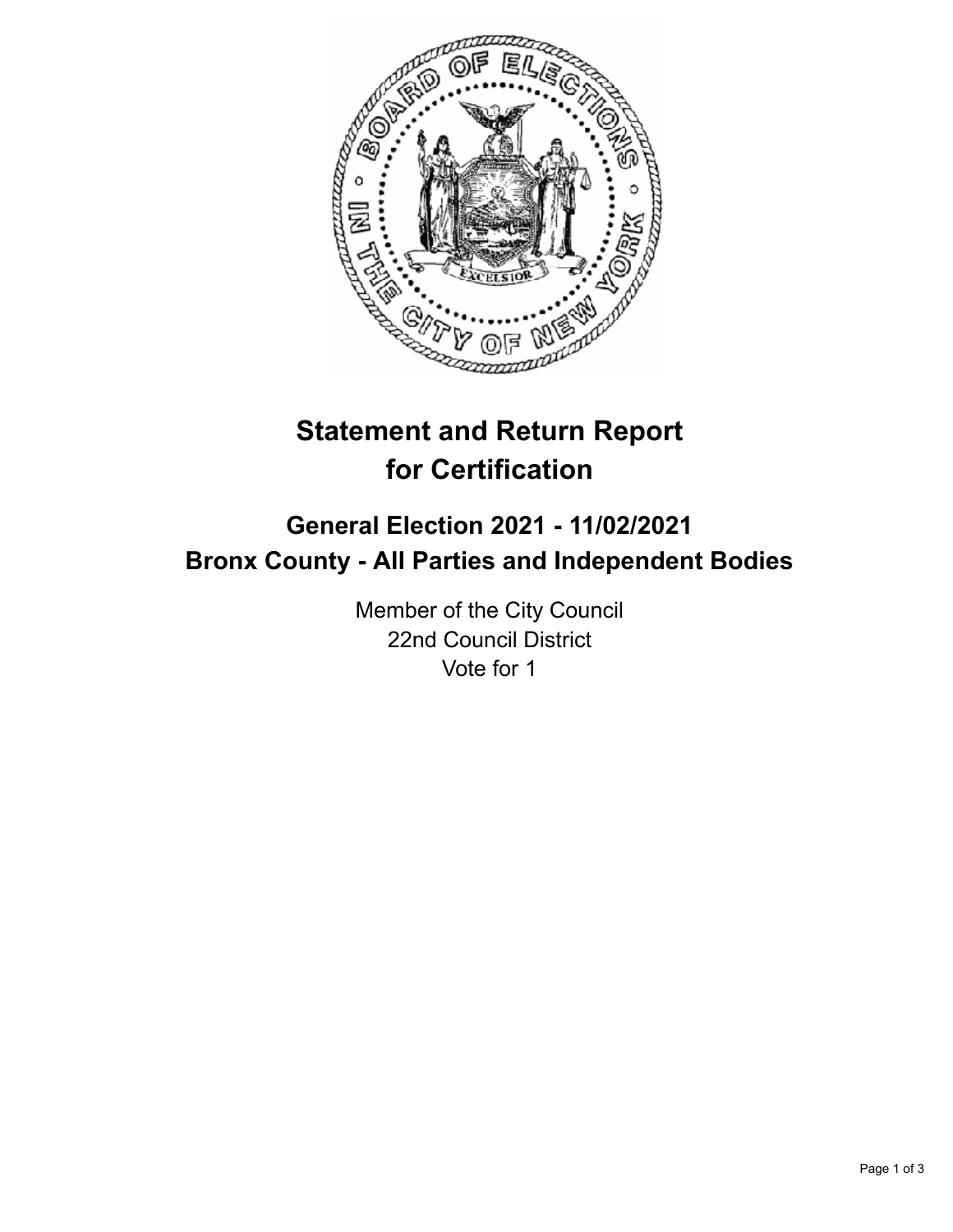

## **Statement and Return Report for Certification**

## **General Election 2021 - 11/02/2021 Bronx County - All Parties and Independent Bodies**

Member of the City Council 22nd Council District Vote for 1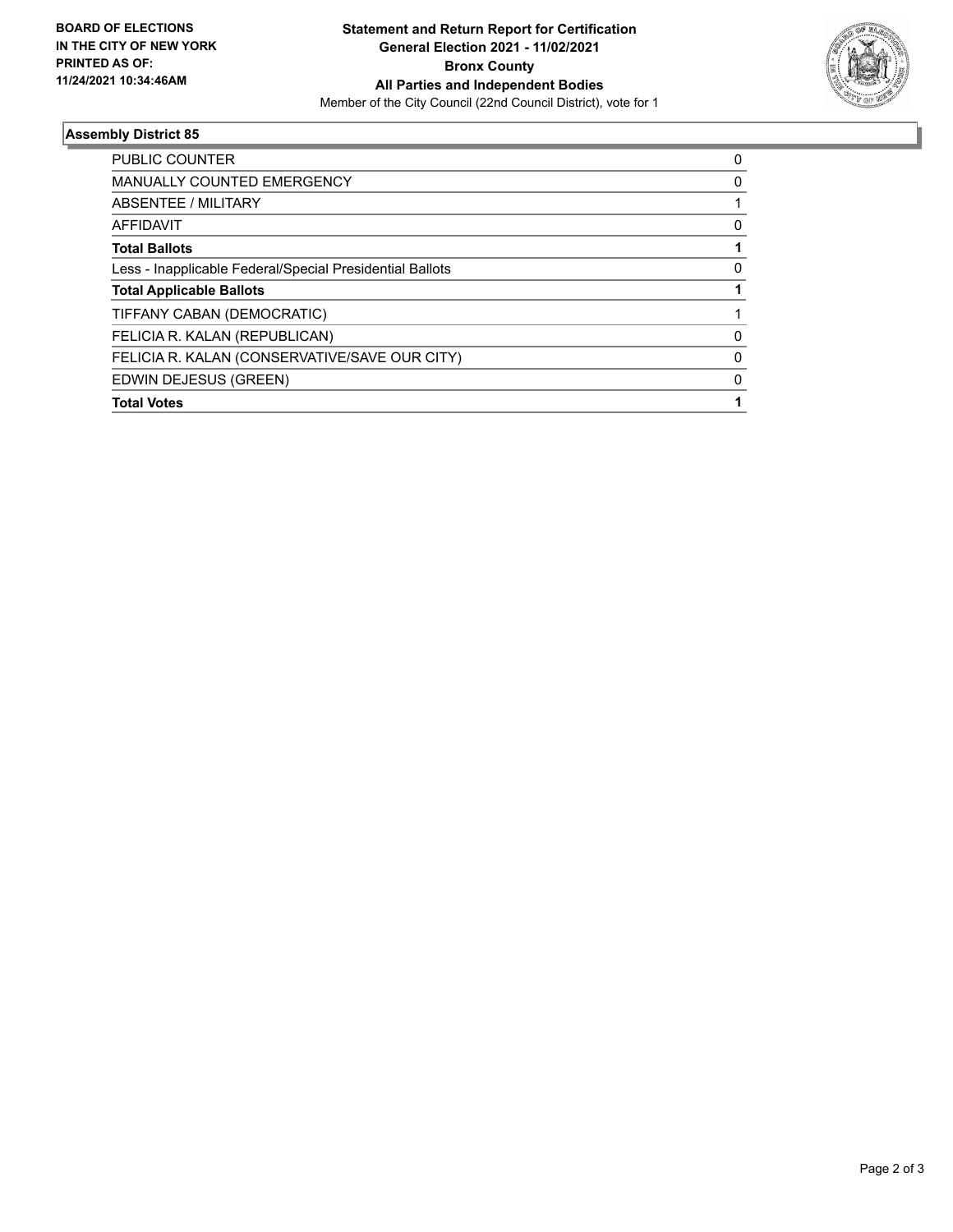

## **Assembly District 85**

| PUBLIC COUNTER                                           | 0 |
|----------------------------------------------------------|---|
| <b>MANUALLY COUNTED EMERGENCY</b>                        | 0 |
| ABSENTEE / MILITARY                                      |   |
| AFFIDAVIT                                                | 0 |
| <b>Total Ballots</b>                                     |   |
| Less - Inapplicable Federal/Special Presidential Ballots | 0 |
| <b>Total Applicable Ballots</b>                          |   |
| TIFFANY CABAN (DEMOCRATIC)                               |   |
| FELICIA R. KALAN (REPUBLICAN)                            | 0 |
| FELICIA R. KALAN (CONSERVATIVE/SAVE OUR CITY)            | 0 |
| EDWIN DEJESUS (GREEN)                                    | 0 |
| <b>Total Votes</b>                                       |   |
|                                                          |   |